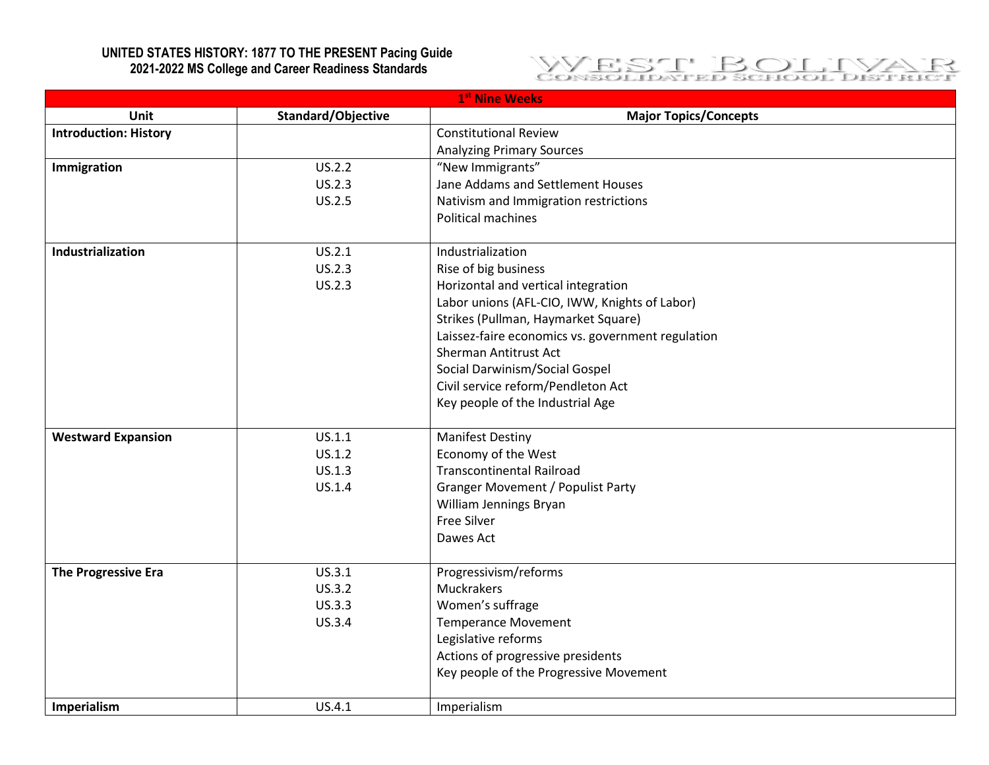## **UNITED STATES HISTORY: 1877 TO THE PRESENT Pacing Guide 2021-2022 MS College and Career Readiness Standards**



| 1 <sup>st</sup> Nine Weeks   |                    |                                                   |
|------------------------------|--------------------|---------------------------------------------------|
| Unit                         | Standard/Objective | <b>Major Topics/Concepts</b>                      |
| <b>Introduction: History</b> |                    | <b>Constitutional Review</b>                      |
|                              |                    | <b>Analyzing Primary Sources</b>                  |
| Immigration                  | US.2.2             | "New Immigrants"                                  |
|                              | US.2.3             | Jane Addams and Settlement Houses                 |
|                              | US.2.5             | Nativism and Immigration restrictions             |
|                              |                    | Political machines                                |
| Industrialization            | US.2.1             | Industrialization                                 |
|                              | US.2.3             | Rise of big business                              |
|                              | <b>US.2.3</b>      | Horizontal and vertical integration               |
|                              |                    | Labor unions (AFL-CIO, IWW, Knights of Labor)     |
|                              |                    | Strikes (Pullman, Haymarket Square)               |
|                              |                    | Laissez-faire economics vs. government regulation |
|                              |                    | Sherman Antitrust Act                             |
|                              |                    | Social Darwinism/Social Gospel                    |
|                              |                    | Civil service reform/Pendleton Act                |
|                              |                    | Key people of the Industrial Age                  |
| <b>Westward Expansion</b>    | US.1.1             | <b>Manifest Destiny</b>                           |
|                              | US.1.2             | Economy of the West                               |
|                              | US.1.3             | <b>Transcontinental Railroad</b>                  |
|                              | US.1.4             | <b>Granger Movement / Populist Party</b>          |
|                              |                    | William Jennings Bryan                            |
|                              |                    | Free Silver                                       |
|                              |                    | Dawes Act                                         |
| The Progressive Era          | US.3.1             | Progressivism/reforms                             |
|                              | US.3.2             | Muckrakers                                        |
|                              | US.3.3             | Women's suffrage                                  |
|                              | <b>US.3.4</b>      | <b>Temperance Movement</b>                        |
|                              |                    | Legislative reforms                               |
|                              |                    | Actions of progressive presidents                 |
|                              |                    | Key people of the Progressive Movement            |
| Imperialism                  | US.4.1             | Imperialism                                       |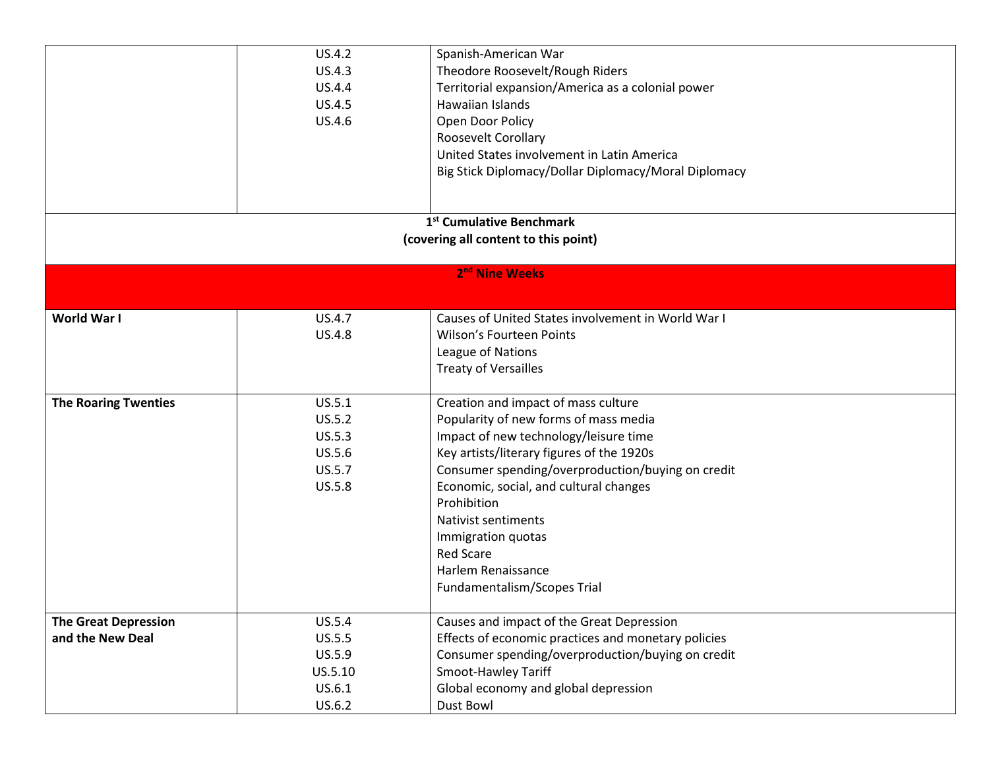|                             | US.4.2  | Spanish-American War                                 |
|-----------------------------|---------|------------------------------------------------------|
|                             | US.4.3  | Theodore Roosevelt/Rough Riders                      |
|                             | US.4.4  | Territorial expansion/America as a colonial power    |
|                             | US.4.5  | Hawaiian Islands                                     |
|                             | US.4.6  | Open Door Policy                                     |
|                             |         | Roosevelt Corollary                                  |
|                             |         | United States involvement in Latin America           |
|                             |         | Big Stick Diplomacy/Dollar Diplomacy/Moral Diplomacy |
|                             |         |                                                      |
|                             |         |                                                      |
|                             |         | 1 <sup>st</sup> Cumulative Benchmark                 |
|                             |         | (covering all content to this point)                 |
|                             |         | 2 <sup>nd</sup> Nine Weeks                           |
|                             |         |                                                      |
|                             |         |                                                      |
| World War I                 | US.4.7  | Causes of United States involvement in World War I   |
|                             | US.4.8  | <b>Wilson's Fourteen Points</b>                      |
|                             |         | League of Nations                                    |
|                             |         | <b>Treaty of Versailles</b>                          |
| <b>The Roaring Twenties</b> | US.5.1  | Creation and impact of mass culture                  |
|                             | US.5.2  | Popularity of new forms of mass media                |
|                             | US.5.3  | Impact of new technology/leisure time                |
|                             | US.5.6  | Key artists/literary figures of the 1920s            |
|                             | US.5.7  | Consumer spending/overproduction/buying on credit    |
|                             | US.5.8  | Economic, social, and cultural changes               |
|                             |         | Prohibition                                          |
|                             |         | <b>Nativist sentiments</b>                           |
|                             |         | Immigration quotas                                   |
|                             |         | <b>Red Scare</b>                                     |
|                             |         | Harlem Renaissance                                   |
|                             |         | Fundamentalism/Scopes Trial                          |
|                             |         |                                                      |
| <b>The Great Depression</b> | US.5.4  | Causes and impact of the Great Depression            |
| and the New Deal            | US.5.5  | Effects of economic practices and monetary policies  |
|                             | US.5.9  | Consumer spending/overproduction/buying on credit    |
|                             | US.5.10 | Smoot-Hawley Tariff                                  |
|                             | US.6.1  | Global economy and global depression                 |
|                             | US.6.2  | Dust Bowl                                            |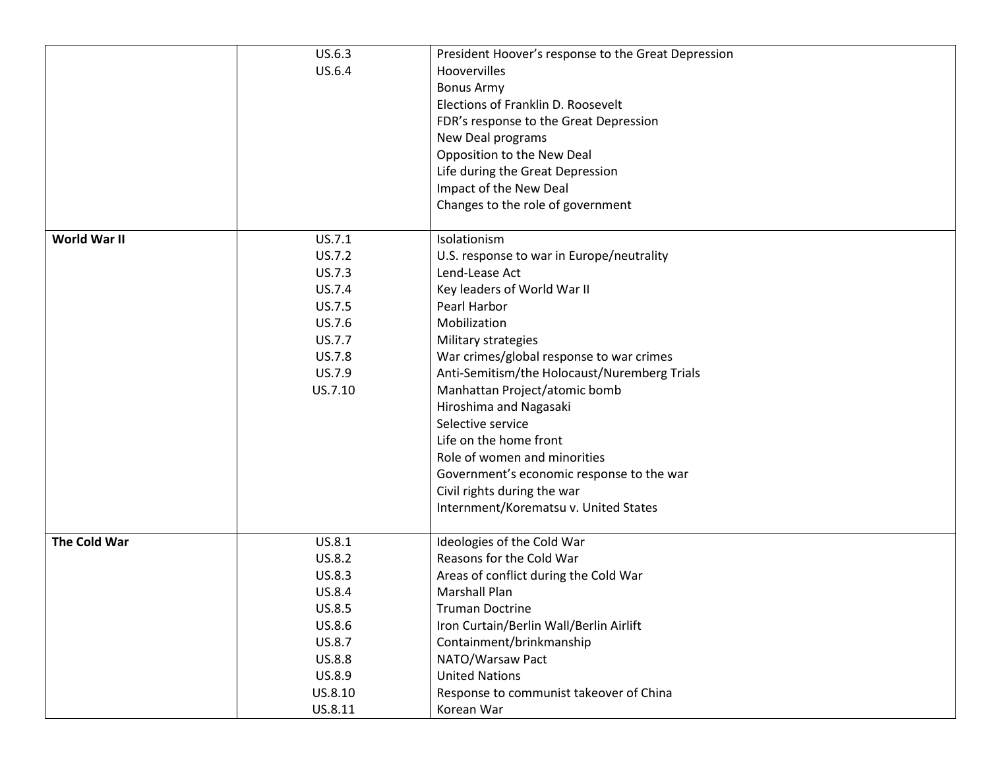|              | US.6.3                  | President Hoover's response to the Great Depression         |
|--------------|-------------------------|-------------------------------------------------------------|
|              | US.6.4                  | Hoovervilles                                                |
|              |                         | <b>Bonus Army</b>                                           |
|              |                         | Elections of Franklin D. Roosevelt                          |
|              |                         | FDR's response to the Great Depression                      |
|              |                         | New Deal programs                                           |
|              |                         | Opposition to the New Deal                                  |
|              |                         | Life during the Great Depression                            |
|              |                         | Impact of the New Deal                                      |
|              |                         | Changes to the role of government                           |
| World War II | US.7.1                  | Isolationism                                                |
|              |                         |                                                             |
|              | US.7.2                  | U.S. response to war in Europe/neutrality<br>Lend-Lease Act |
|              | <b>US.7.3</b><br>US.7.4 |                                                             |
|              |                         | Key leaders of World War II<br>Pearl Harbor                 |
|              | US.7.5                  | Mobilization                                                |
|              | US.7.6                  |                                                             |
|              | US.7.7                  | Military strategies                                         |
|              | <b>US.7.8</b>           | War crimes/global response to war crimes                    |
|              | US.7.9                  | Anti-Semitism/the Holocaust/Nuremberg Trials                |
|              | US.7.10                 | Manhattan Project/atomic bomb                               |
|              |                         | Hiroshima and Nagasaki                                      |
|              |                         | Selective service                                           |
|              |                         | Life on the home front                                      |
|              |                         | Role of women and minorities                                |
|              |                         | Government's economic response to the war                   |
|              |                         | Civil rights during the war                                 |
|              |                         | Internment/Korematsu v. United States                       |
| The Cold War | US.8.1                  | Ideologies of the Cold War                                  |
|              | US.8.2                  | Reasons for the Cold War                                    |
|              | US.8.3                  | Areas of conflict during the Cold War                       |
|              | US.8.4                  | <b>Marshall Plan</b>                                        |
|              | US.8.5                  | <b>Truman Doctrine</b>                                      |
|              | US.8.6                  | Iron Curtain/Berlin Wall/Berlin Airlift                     |
|              | US.8.7                  | Containment/brinkmanship                                    |
|              | US.8.8                  | NATO/Warsaw Pact                                            |
|              | US.8.9                  | <b>United Nations</b>                                       |
|              | US.8.10                 | Response to communist takeover of China                     |
|              | US.8.11                 | Korean War                                                  |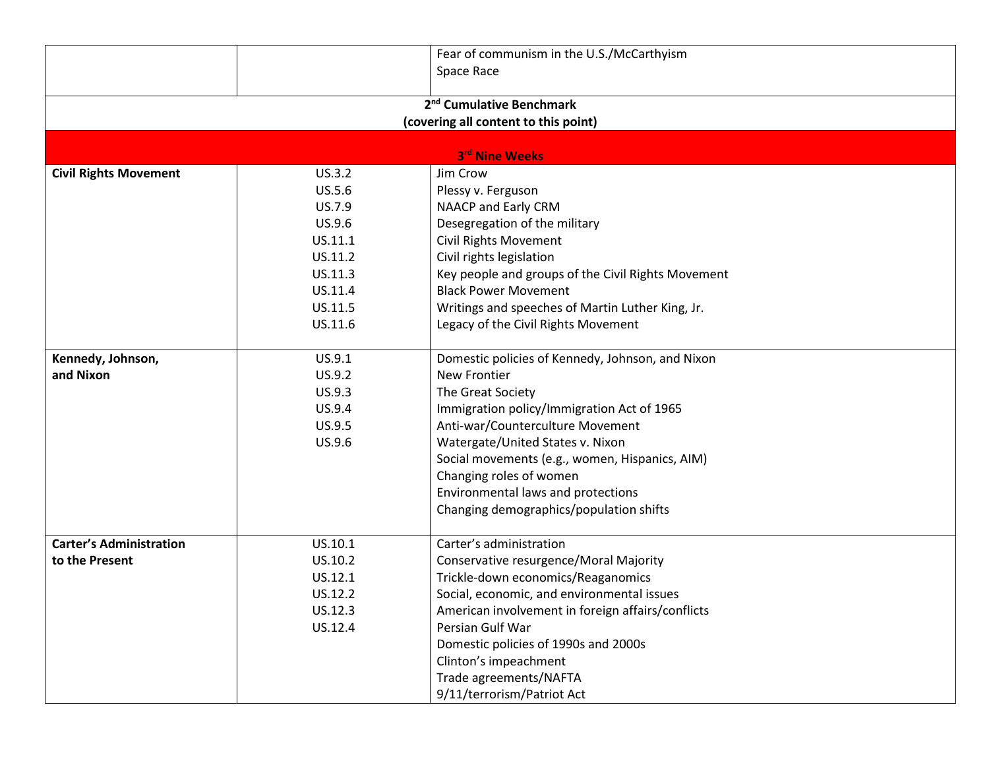|                                      |         | Fear of communism in the U.S./McCarthyism          |  |  |  |
|--------------------------------------|---------|----------------------------------------------------|--|--|--|
|                                      |         | Space Race                                         |  |  |  |
|                                      |         |                                                    |  |  |  |
| 2 <sup>nd</sup> Cumulative Benchmark |         |                                                    |  |  |  |
|                                      |         | (covering all content to this point)               |  |  |  |
|                                      |         | 3rd Nine Weeks                                     |  |  |  |
| <b>Civil Rights Movement</b>         | US.3.2  | Jim Crow                                           |  |  |  |
|                                      | US.5.6  | Plessy v. Ferguson                                 |  |  |  |
|                                      | US.7.9  | NAACP and Early CRM                                |  |  |  |
|                                      | US.9.6  | Desegregation of the military                      |  |  |  |
|                                      | US.11.1 | <b>Civil Rights Movement</b>                       |  |  |  |
|                                      | US.11.2 | Civil rights legislation                           |  |  |  |
|                                      | US.11.3 | Key people and groups of the Civil Rights Movement |  |  |  |
|                                      | US.11.4 | <b>Black Power Movement</b>                        |  |  |  |
|                                      | US.11.5 | Writings and speeches of Martin Luther King, Jr.   |  |  |  |
|                                      | US.11.6 | Legacy of the Civil Rights Movement                |  |  |  |
|                                      |         |                                                    |  |  |  |
| Kennedy, Johnson,                    | US.9.1  | Domestic policies of Kennedy, Johnson, and Nixon   |  |  |  |
| and Nixon                            | US.9.2  | <b>New Frontier</b>                                |  |  |  |
|                                      | US.9.3  | The Great Society                                  |  |  |  |
|                                      | US.9.4  | Immigration policy/Immigration Act of 1965         |  |  |  |
|                                      | US.9.5  | Anti-war/Counterculture Movement                   |  |  |  |
|                                      | US.9.6  | Watergate/United States v. Nixon                   |  |  |  |
|                                      |         | Social movements (e.g., women, Hispanics, AIM)     |  |  |  |
|                                      |         | Changing roles of women                            |  |  |  |
|                                      |         | Environmental laws and protections                 |  |  |  |
|                                      |         | Changing demographics/population shifts            |  |  |  |
| <b>Carter's Administration</b>       | US.10.1 | Carter's administration                            |  |  |  |
| to the Present                       | US.10.2 | Conservative resurgence/Moral Majority             |  |  |  |
|                                      | US.12.1 | Trickle-down economics/Reaganomics                 |  |  |  |
|                                      | US.12.2 | Social, economic, and environmental issues         |  |  |  |
|                                      | US.12.3 | American involvement in foreign affairs/conflicts  |  |  |  |
|                                      | US.12.4 | Persian Gulf War                                   |  |  |  |
|                                      |         | Domestic policies of 1990s and 2000s               |  |  |  |
|                                      |         | Clinton's impeachment                              |  |  |  |
|                                      |         | Trade agreements/NAFTA                             |  |  |  |
|                                      |         | 9/11/terrorism/Patriot Act                         |  |  |  |